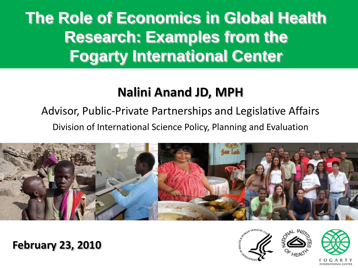# **The Role of Economics in Global Health Research: Examples from the Fogarty International Center**

### **Nalini Anand JD, MPH**

## Advisor, Public-Private Partnerships and Legislative Affairs

Division of International Science Policy, Planning and Evaluation



#### **February 23, 2010**

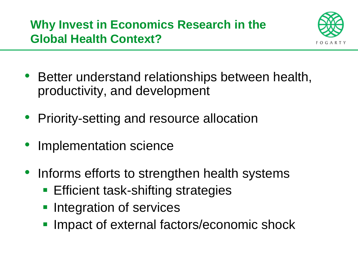

- Better understand relationships between health, productivity, and development
- Priority-setting and resource allocation
- Implementation science
- Informs efforts to strengthen health systems
	- **Efficient task-shifting strategies**
	- **Integration of services**
	- **Impact of external factors/economic shock**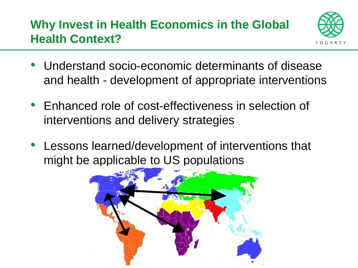#### **Why Invest in Health Economics in the Global Health Context?**



- Understand socio-economic determinants of disease and health - development of appropriate interventions
- Enhanced role of cost-effectiveness in selection of interventions and delivery strategies
- Lessons learned/development of interventions that might be applicable to US populations

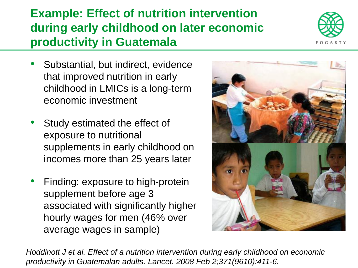#### **Example: Effect of nutrition intervention during early childhood on later economic productivity in Guatemala**

- Substantial, but indirect, evidence that improved nutrition in early childhood in LMICs is a long-term economic investment
- Study estimated the effect of exposure to nutritional supplements in early childhood on incomes more than 25 years later
- Finding: exposure to high-protein supplement before age 3 associated with significantly higher hourly wages for men (46% over average wages in sample)

*Hoddinott J et al. Effect of a nutrition intervention during early childhood on economic productivity in Guatemalan adults. Lancet. 2008 Feb 2;371(9610):411-6.*



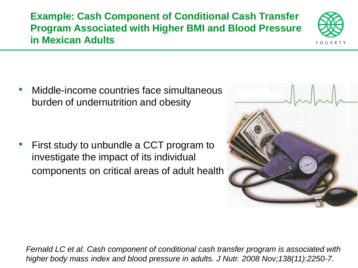**Example: Cash Component of Conditional Cash Transfer Program Associated with Higher BMI and Blood Pressure in Mexican Adults**

• Middle-income countries face simultaneous burden of undernutrition and obesity

First study to unbundle a CCT program to investigate the impact of its individual components on critical areas of adult health



*Fernald LC et al. Cash component of conditional cash transfer program is associated with higher body mass index and blood pressure in adults. J Nutr. 2008 Nov;138(11):2250-7.*



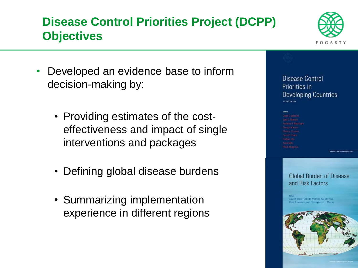#### **Disease Control Priorities Project (DCPP) Objectives**



- Developed an evidence base to inform decision-making by:
	- Providing estimates of the costeffectiveness and impact of single interventions and packages
	- Defining global disease burdens
	- Summarizing implementation experience in different regions



**Disease Control Principes Project** 

**Global Burden of Disease** and Risk Factors

Alan D. Lopsz, Colin D. Mathers, Majid Ezzati, Dean T, Jamison, and Christopber J. L. Murray

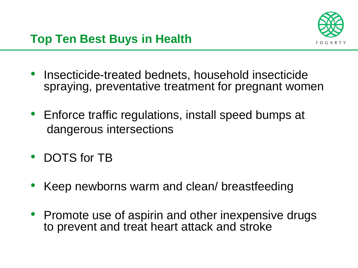

- Insecticide-treated bednets, household insecticide spraying, preventative treatment for pregnant women
- Enforce traffic regulations, install speed bumps at dangerous intersections
- DOTS for TB
- Keep newborns warm and clean/ breastfeeding
- Promote use of aspirin and other inexpensive drugs to prevent and treat heart attack and stroke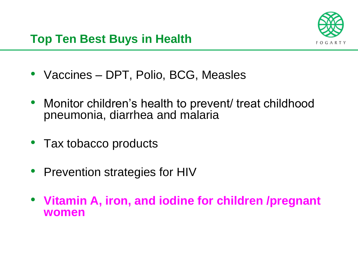- Vaccines DPT, Polio, BCG, Measles
- Monitor children's health to prevent/ treat childhood pneumonia, diarrhea and malaria
- Tax tobacco products
- Prevention strategies for HIV
- **Vitamin A, iron, and iodine for children /pregnant women**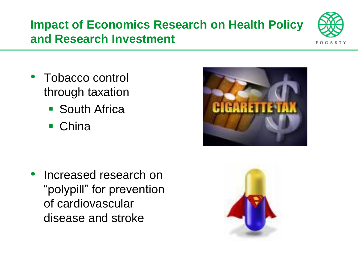#### **Impact of Economics Research on Health Policy and Research Investment**



- Tobacco control through taxation
	- South Africa
	- China

• Increased research on "polypill" for prevention of cardiovascular disease and stroke



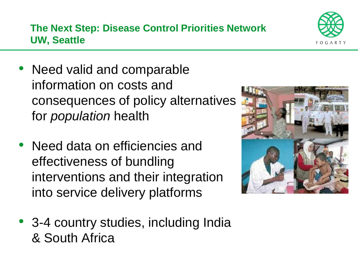

• Need data on efficiencies and effectiveness of bundling interventions and their integration into service delivery platforms



• 3-4 country studies, including India & South Africa

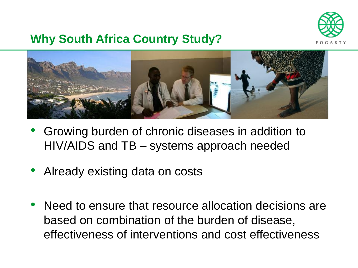

#### **Why South Africa Country Study?**



- Growing burden of chronic diseases in addition to HIV/AIDS and TB – systems approach needed
- Already existing data on costs
- Need to ensure that resource allocation decisions are based on combination of the burden of disease, effectiveness of interventions and cost effectiveness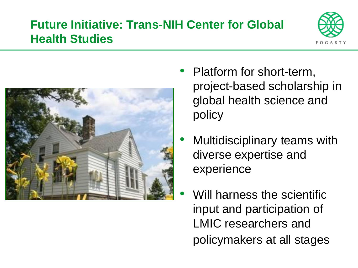#### **Future Initiative: Trans-NIH Center for Global Health Studies**





- Platform for short-term, project-based scholarship in global health science and policy
- Multidisciplinary teams with diverse expertise and experience
- Will harness the scientific input and participation of LMIC researchers and policymakers at all stages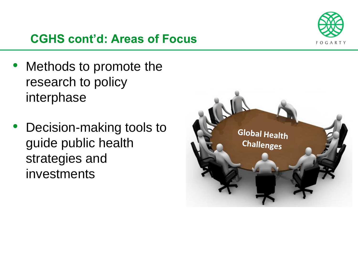

#### **CGHS cont'd: Areas of Focus**

- Methods to promote the research to policy interphase
- Decision-making tools to guide public health strategies and investments